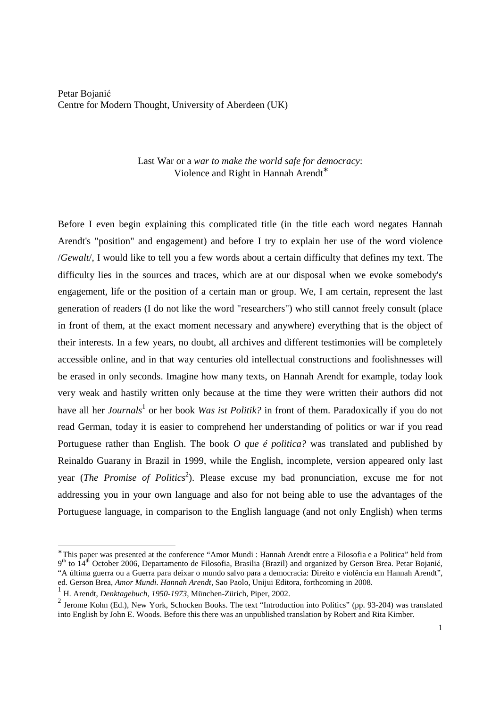Petar Bojanić Centre for Modern Thought, University of Aberdeen (UK)

> Last War or a *war to make the world safe for democracy*: Violence and Right in Hannah Arendt<sup>∗</sup>

Before I even begin explaining this complicated title (in the title each word negates Hannah Arendt's "position" and engagement) and before I try to explain her use of the word violence /*Gewalt*/, I would like to tell you a few words about a certain difficulty that defines my text. The difficulty lies in the sources and traces, which are at our disposal when we evoke somebody's engagement, life or the position of a certain man or group. We, I am certain, represent the last generation of readers (I do not like the word "researchers") who still cannot freely consult (place in front of them, at the exact moment necessary and anywhere) everything that is the object of their interests. In a few years, no doubt, all archives and different testimonies will be completely accessible online, and in that way centuries old intellectual constructions and foolishnesses will be erased in only seconds. Imagine how many texts, on Hannah Arendt for example, today look very weak and hastily written only because at the time they were written their authors did not have all her *Journals*<sup>1</sup> or her book *Was ist Politik?* in front of them. Paradoxically if you do not read German, today it is easier to comprehend her understanding of politics or war if you read Portuguese rather than English. The book *O que é politica?* was translated and published by Reinaldo Guarany in Brazil in 1999, while the English, incomplete, version appeared only last year (*The Promise of Politics*<sup>2</sup>). Please excuse my bad pronunciation, excuse me for not addressing you in your own language and also for not being able to use the advantages of the Portuguese language, in comparison to the English language (and not only English) when terms

<sup>∗</sup> This paper was presented at the conference "Amor Mundi : Hannah Arendt entre a Filosofia e a Politica" held from 9<sup>th</sup> to 14<sup>th</sup> October 2006, Departamento de Filosofia, Brasilia (Brazil) and organized by Gerson Brea. Petar Bojanić, "A última guerra ou a Guerra para deixar o mundo salvo para a democracia: Direito e violência em Hannah Arendt", ed. Gerson Brea, *Amor Mundi. Hannah Arendt*, Sao Paolo, Unijui Editora, forthcoming in 2008.

<sup>1</sup> H. Arendt, *Denktagebuch, 1950-1973*, München-Zürich, Piper, 2002.

 $<sup>2</sup>$  Jerome Kohn (Ed.), New York, Schocken Books. The text "Introduction into Politics" (pp. 93-204) was translated</sup> into English by John E. Woods. Before this there was an unpublished translation by Robert and Rita Kimber.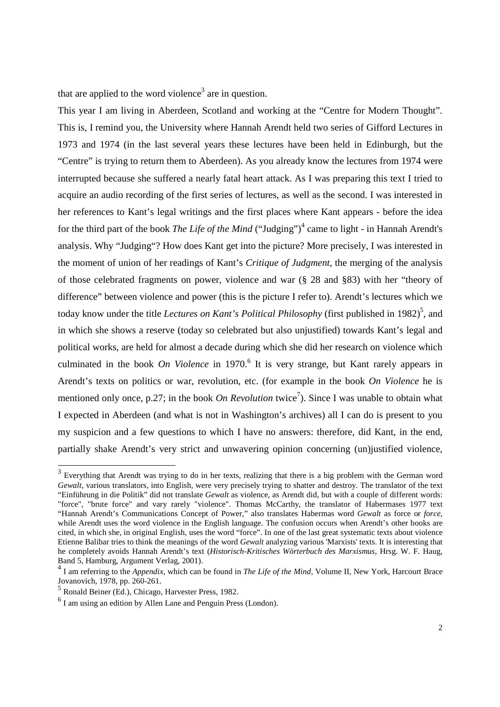that are applied to the word violence<sup>3</sup> are in question.

This year I am living in Aberdeen, Scotland and working at the "Centre for Modern Thought". This is, I remind you, the University where Hannah Arendt held two series of Gifford Lectures in 1973 and 1974 (in the last several years these lectures have been held in Edinburgh, but the "Centre" is trying to return them to Aberdeen). As you already know the lectures from 1974 were interrupted because she suffered a nearly fatal heart attack. As I was preparing this text I tried to acquire an audio recording of the first series of lectures, as well as the second. I was interested in her references to Kant's legal writings and the first places where Kant appears - before the idea for the third part of the book *The Life of the Mind* ("Judging")<sup>4</sup> came to light - in Hannah Arendt's analysis. Why "Judging"? How does Kant get into the picture? More precisely, I was interested in the moment of union of her readings of Kant's *Critique of Judgment*, the merging of the analysis of those celebrated fragments on power, violence and war (§ 28 and §83) with her "theory of difference" between violence and power (this is the picture I refer to). Arendt's lectures which we today know under the title *Lectures on Kant's Political Philosophy* (first published in 1982)<sup>5</sup>, and in which she shows a reserve (today so celebrated but also unjustified) towards Kant's legal and political works, are held for almost a decade during which she did her research on violence which culminated in the book *On Violence* in 1970.<sup>6</sup> It is very strange, but Kant rarely appears in Arendt's texts on politics or war, revolution, etc. (for example in the book *On Violence* he is mentioned only once, p.27; in the book *On Revolution* twice<sup>7</sup>). Since I was unable to obtain what I expected in Aberdeen (and what is not in Washington's archives) all I can do is present to you my suspicion and a few questions to which I have no answers: therefore, did Kant, in the end, partially shake Arendt's very strict and unwavering opinion concerning (un)justified violence,

 $3$  Everything that Arendt was trying to do in her texts, realizing that there is a big problem with the German word *Gewalt*, various translators, into English, were very precisely trying to shatter and destroy. The translator of the text "Einführung in die Politik" did not translate *Gewalt* as violence, as Arendt did, but with a couple of different words: "force", "brute force" and vary rarely "violence". Thomas McCarthy, the translator of Habermases 1977 text "Hannah Arendt's Communications Concept of Power," also translates Habermas word *Gewalt* as force or *force*, while Arendt uses the word violence in the English language. The confusion occurs when Arendt's other books are cited, in which she, in original English, uses the word "force". In one of the last great systematic texts about violence Etienne Balibar tries to think the meanings of the word *Gewalt* analyzing various 'Marxists' texts. It is interesting that he completely avoids Hannah Arendt's text (*Historisch-Kritisches Wörterbuch des Marxismus*, Hrsg. W. F. Haug, Band 5, Hamburg, Argument Verlag, 2001).

<sup>4</sup> I am referring to the *Appendix*, which can be found in *The Life of the Mind*, Volume II, New York, Harcourt Brace Jovanovich, 1978, pp. 260-261.

<sup>5</sup> Ronald Beiner (Ed.), Chicago, Harvester Press, 1982.

<sup>6</sup> I am using an edition by Allen Lane and Penguin Press (London).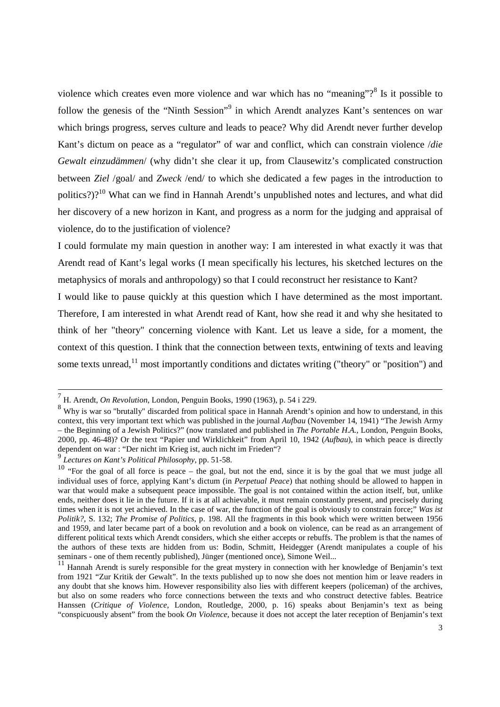violence which creates even more violence and war which has no "meaning"?<sup>8</sup> Is it possible to follow the genesis of the "Ninth Session"<sup>9</sup> in which Arendt analyzes Kant's sentences on war which brings progress, serves culture and leads to peace? Why did Arendt never further develop Kant's dictum on peace as a "regulator" of war and conflict, which can constrain violence /*die Gewalt einzudämmen*/ (why didn't she clear it up, from Clausewitz's complicated construction between *Ziel* /goal/ and *Zweck* /end/ to which she dedicated a few pages in the introduction to politics?)?<sup>10</sup> What can we find in Hannah Arendt's unpublished notes and lectures, and what did her discovery of a new horizon in Kant, and progress as a norm for the judging and appraisal of violence, do to the justification of violence?

I could formulate my main question in another way: I am interested in what exactly it was that Arendt read of Kant's legal works (I mean specifically his lectures, his sketched lectures on the metaphysics of morals and anthropology) so that I could reconstruct her resistance to Kant?

I would like to pause quickly at this question which I have determined as the most important. Therefore, I am interested in what Arendt read of Kant, how she read it and why she hesitated to think of her "theory" concerning violence with Kant. Let us leave a side, for a moment, the context of this question. I think that the connection between texts, entwining of texts and leaving some texts unread,<sup>11</sup> most importantly conditions and dictates writing ("theory" or "position") and

 7 H. Arendt, *On Revolution*, London, Penguin Books, 1990 (1963), p. 54 i 229.

<sup>&</sup>lt;sup>8</sup> Why is war so "brutally" discarded from political space in Hannah Arendt's opinion and how to understand, in this context, this very important text which was published in the journal *Aufbau* (November 14, 1941) "The Jewish Army – the Beginning of a Jewish Politics?" (now translated and published in *The Portable H.A.*, London, Penguin Books, 2000, pp. 46-48)? Or the text "Papier und Wirklichkeit" from April 10, 1942 (*Aufbau*), in which peace is directly dependent on war : "Der nicht im Krieg ist, auch nicht im Frieden"?

<sup>9</sup> *Lectures on Kant's Political Philosophy*, pp. 51-58.

<sup>&</sup>lt;sup>10</sup> "For the goal of all force is peace – the goal, but not the end, since it is by the goal that we must judge all individual uses of force, applying Kant's dictum (in *Perpetual Peace*) that nothing should be allowed to happen in war that would make a subsequent peace impossible. The goal is not contained within the action itself, but, unlike ends, neither does it lie in the future. If it is at all achievable, it must remain constantly present, and precisely during times when it is not yet achieved. In the case of war, the function of the goal is obviously to constrain force;" *Was ist Politik?*, S. 132; *The Promise of Politics*, p. 198. All the fragments in this book which were written between 1956 and 1959, and later became part of a book on revolution and a book on violence, can be read as an arrangement of different political texts which Arendt considers, which she either accepts or rebuffs. The problem is that the names of the authors of these texts are hidden from us: Bodin, Schmitt, Heidegger (Arendt manipulates a couple of his seminars - one of them recently published), Jünger (mentioned once), Simone Weil...

<sup>&</sup>lt;sup>11</sup> Hannah Arendt is surely responsible for the great mystery in connection with her knowledge of Benjamin's text from 1921 "Zur Kritik der Gewalt". In the texts published up to now she does not mention him or leave readers in any doubt that she knows him. However responsibility also lies with different keepers (policeman) of the archives, but also on some readers who force connections between the texts and who construct detective fables. Beatrice Hanssen (*Critique of Violence*, London, Routledge, 2000, p. 16) speaks about Benjamin's text as being "conspicuously absent" from the book *On Violence*, because it does not accept the later reception of Benjamin's text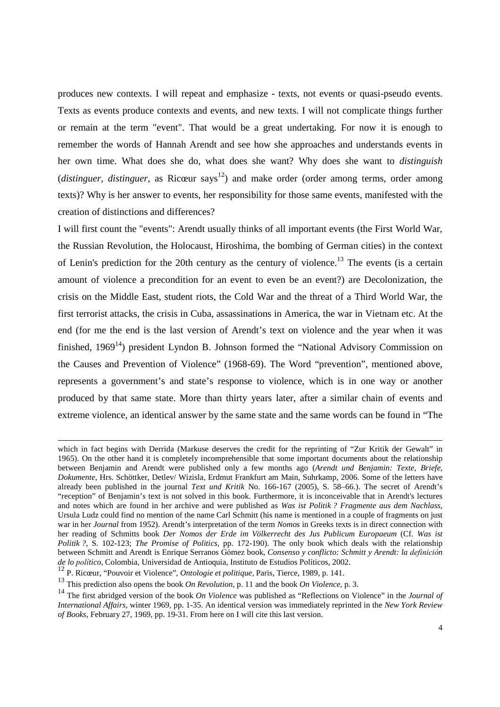produces new contexts. I will repeat and emphasize - texts, not events or quasi-pseudo events. Texts as events produce contexts and events, and new texts. I will not complicate things further or remain at the term "event". That would be a great undertaking. For now it is enough to remember the words of Hannah Arendt and see how she approaches and understands events in her own time. What does she do, what does she want? Why does she want to *distinguish*  (*distinguer, distinguer*, as Ricœur says<sup>12</sup>) and make order (order among terms, order among texts)? Why is her answer to events, her responsibility for those same events, manifested with the creation of distinctions and differences?

I will first count the "events": Arendt usually thinks of all important events (the First World War, the Russian Revolution, the Holocaust, Hiroshima, the bombing of German cities) in the context of Lenin's prediction for the 20th century as the century of violence.<sup>13</sup> The events (is a certain amount of violence a precondition for an event to even be an event?) are Decolonization, the crisis on the Middle East, student riots, the Cold War and the threat of a Third World War, the first terrorist attacks, the crisis in Cuba, assassinations in America, the war in Vietnam etc. At the end (for me the end is the last version of Arendt's text on violence and the year when it was finished,  $1969<sup>14</sup>$ ) president Lyndon B. Johnson formed the "National Advisory Commission on the Causes and Prevention of Violence" (1968-69). The Word "prevention", mentioned above, represents a government's and state's response to violence, which is in one way or another produced by that same state. More than thirty years later, after a similar chain of events and extreme violence, an identical answer by the same state and the same words can be found in "The

j

which in fact begins with Derrida (Markuse deserves the credit for the reprinting of "Zur Kritik der Gewalt" in 1965). On the other hand it is completely incomprehensible that some important documents about the relationship between Benjamin and Arendt were published only a few months ago (*Arendt und Benjamin: Texte, Briefe, Dokumente*, Hrs. Schöttker, Detlev/ Wizisla, Erdmut Frankfurt am Main, Suhrkamp, 2006. Some of the letters have already been published in the journal *Text und Kritik* No. 166-167 (2005), S. 58–66.). The secret of Arendt's "reception" of Benjamin's text is not solved in this book. Furthermore, it is inconceivable that in Arendt's lectures and notes which are found in her archive and were published as *Was ist Politik ? Fragmente aus dem Nachlass*, Ursula Ludz could find no mention of the name Carl Schmitt (his name is mentioned in a couple of fragments on just war in her *Journal* from 1952). Arendt's interpretation of the term *Nomos* in Greeks texts is in direct connection with her reading of Schmitts book *Der Nomos der Erde im Völkerrecht des Jus Publicum Europaeum* (Cf. *Was ist Politik ?*, S. 102-123; *The Promise of Politics*, pp. 172-190). The only book which deals with the relationship between Schmitt and Arendt is Enrique Serranos Gómez book, *Consenso y conflicto: Schmitt y Arendt: la* definició*n de lo* polí*tico*, Colombia, Universidad de Antioquia, Instituto de Estudios Políticos, 2002.

<sup>12</sup> P. Ricœur, "Pouvoir et Violence", *Ontologie et politique*, Paris, Tierce, 1989, p. 141.

<sup>13</sup> This prediction also opens the book *On Revolution*, p. 11 and the book *On Violence*, p. 3.

<sup>14</sup> The first abridged version of the book *On Violence* was published as "Reflections on Violence" in the *Journal of International Affairs*, winter 1969, pp. 1-35. An identical version was immediately reprinted in the *New York Review of Books*, February 27, 1969, pp. 19-31. From here on I will cite this last version.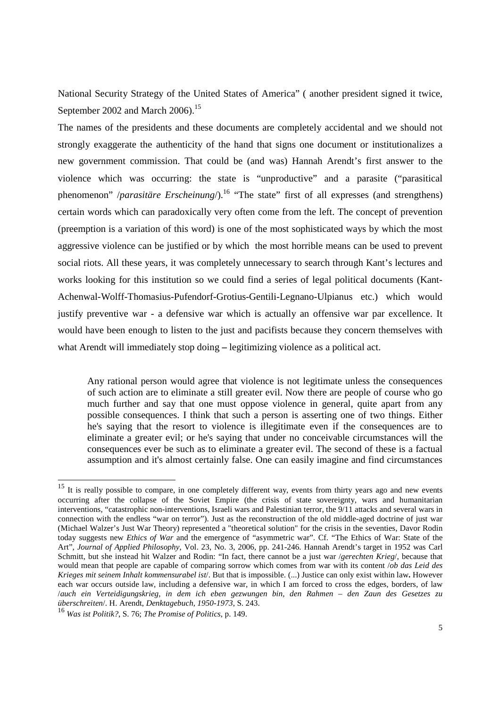National Security Strategy of the United States of America" ( another president signed it twice, September 2002 and March 2006).<sup>15</sup>

The names of the presidents and these documents are completely accidental and we should not strongly exaggerate the authenticity of the hand that signs one document or institutionalizes a new government commission. That could be (and was) Hannah Arendt's first answer to the violence which was occurring: the state is "unproductive" and a parasite ("parasitical phenomenon" /*parasitäre Erscheinung*/).<sup>16</sup> "The state" first of all expresses (and strengthens) certain words which can paradoxically very often come from the left. The concept of prevention (preemption is a variation of this word) is one of the most sophisticated ways by which the most aggressive violence can be justified or by which the most horrible means can be used to prevent social riots. All these years, it was completely unnecessary to search through Kant's lectures and works looking for this institution so we could find a series of legal political documents (Kant-Achenwal-Wolff-Thomasius-Pufendorf-Grotius-Gentili-Legnano-Ulpianus etc.) which would justify preventive war - a defensive war which is actually an offensive war par excellence. It would have been enough to listen to the just and pacifists because they concern themselves with what Arendt will immediately stop doing **–** legitimizing violence as a political act.

Any rational person would agree that violence is not legitimate unless the consequences of such action are to eliminate a still greater evil. Now there are people of course who go much further and say that one must oppose violence in general, quite apart from any possible consequences. I think that such a person is asserting one of two things. Either he's saying that the resort to violence is illegitimate even if the consequences are to eliminate a greater evil; or he's saying that under no conceivable circumstances will the consequences ever be such as to eliminate a greater evil. The second of these is a factual assumption and it's almost certainly false. One can easily imagine and find circumstances

<sup>&</sup>lt;sup>15</sup> It is really possible to compare, in one completely different way, events from thirty years ago and new events occurring after the collapse of the Soviet Empire (the crisis of state sovereignty, wars and humanitarian interventions, "catastrophic non-interventions, Israeli wars and Palestinian terror, the 9/11 attacks and several wars in connection with the endless "war on terror"). Just as the reconstruction of the old middle-aged doctrine of just war (Michael Walzer's Just War Theory) represented a "theoretical solution" for the crisis in the seventies, Davor Rodin today suggests new *Ethics of War* and the emergence of "asymmetric war". Cf. "The Ethics of War: State of the Art", *Journal of Applied Philosophy*, Vol. 23, No. 3, 2006, pp. 241-246. Hannah Arendt's target in 1952 was Carl Schmitt, but she instead hit Walzer and Rodin: "In fact, there cannot be a just war /*gerechten Krieg*/, because that would mean that people are capable of comparing sorrow which comes from war with its content /*ob das Leid des Krieges mit seinem Inhalt kommensurabel ist*/. But that is impossible. (...) Justice can only exist within law**.** However each war occurs outside law, including a defensive war, in which I am forced to cross the edges, borders, of law /*auch ein Verteidigungskrieg, in dem ich eben gezwungen bin, den Rahmen – den Zaun des Gesetzes zu überschreiten*/. H. Arendt, *Denktagebuch, 1950-1973*, S. 243.

<sup>16</sup> *Was ist Politik?*, S. 76; *The Promise of Politics*, p. 149.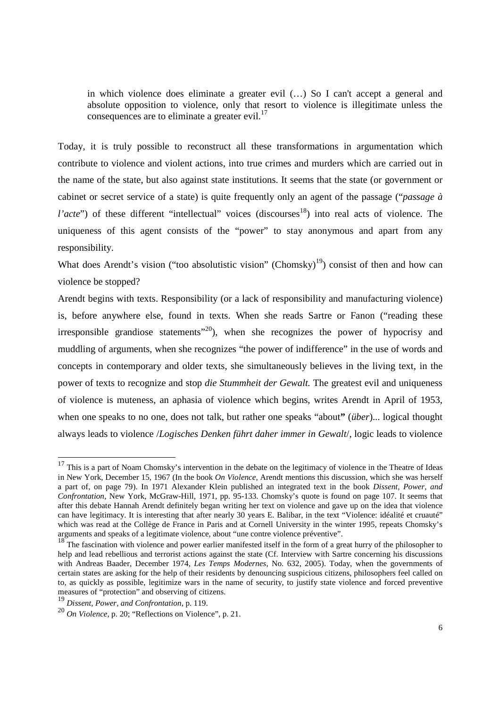in which violence does eliminate a greater evil (…) So I can't accept a general and absolute opposition to violence, only that resort to violence is illegitimate unless the consequences are to eliminate a greater evil. $^{17}$ 

Today, it is truly possible to reconstruct all these transformations in argumentation which contribute to violence and violent actions, into true crimes and murders which are carried out in the name of the state, but also against state institutions. It seems that the state (or government or cabinet or secret service of a state) is quite frequently only an agent of the passage ("*passage à l'acte*") of these different "intellectual" voices (discourses<sup>18</sup>) into real acts of violence. The uniqueness of this agent consists of the "power" to stay anonymous and apart from any responsibility.

What does Arendt's vision ("too absolutistic vision" (Chomsky)<sup>19</sup>) consist of then and how can violence be stopped?

Arendt begins with texts. Responsibility (or a lack of responsibility and manufacturing violence) is, before anywhere else, found in texts. When she reads Sartre or Fanon ("reading these irresponsible grandiose statements<sup> $20$ </sup>, when she recognizes the power of hypocrisy and muddling of arguments, when she recognizes "the power of indifference" in the use of words and concepts in contemporary and older texts, she simultaneously believes in the living text, in the power of texts to recognize and stop *die Stummheit der Gewalt.* The greatest evil and uniqueness of violence is muteness, an aphasia of violence which begins, writes Arendt in April of 1953, when one speaks to no one, does not talk, but rather one speaks "about**"** (*über*)... logical thought always leads to violence /*Logisches Denken führt daher immer in Gewalt*/, logic leads to violence

 $17$  This is a part of Noam Chomsky's intervention in the debate on the legitimacy of violence in the Theatre of Ideas in New York, December 15, 1967 (In the book *On Violence*, Arendt mentions this discussion, which she was herself a part of, on page 79). In 1971 Alexander Klein published an integrated text in the book *Dissent, Power, and Confrontation*, New York, McGraw-Hill, 1971, pp. 95-133. Chomsky's quote is found on page 107. It seems that after this debate Hannah Arendt definitely began writing her text on violence and gave up on the idea that violence can have legitimacy. It is interesting that after nearly 30 years E. Balibar, in the text "Violence: idéalité et cruauté" which was read at the Collège de France in Paris and at Cornell University in the winter 1995, repeats Chomsky's arguments and speaks of a legitimate violence, about "une contre violence préventive".

<sup>&</sup>lt;sup>18</sup> The fascination with violence and power earlier manifested itself in the form of a great hurry of the philosopher to help and lead rebellious and terrorist actions against the state (Cf. Interview with Sartre concerning his discussions with Andreas Baader, December 1974, *Les Temps Modernes*, No. 632, 2005). Today, when the governments of certain states are asking for the help of their residents by denouncing suspicious citizens, philosophers feel called on to, as quickly as possible, legitimize wars in the name of security, to justify state violence and forced preventive measures of "protection" and observing of citizens.

<sup>19</sup> *Dissent, Power, and Confrontation*, p. 119.

<sup>20</sup> *On Violence*, p. 20; "Reflections on Violence", p. 21.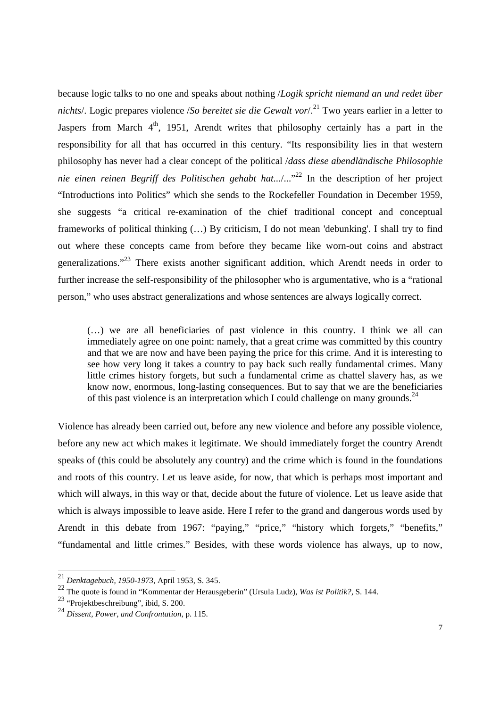because logic talks to no one and speaks about nothing /*Logik spricht niemand an und redet über nichts*. Logic prepares violence /*So bereitet sie die Gewalt vor*/.<sup>21</sup> Two years earlier in a letter to Jaspers from March  $4<sup>th</sup>$ , 1951, Arendt writes that philosophy certainly has a part in the responsibility for all that has occurred in this century. "Its responsibility lies in that western philosophy has never had a clear concept of the political /*dass diese abendländische Philosophie nie einen reinen Begriff des Politischen gehabt hat.../...*<sup>22</sup> In the description of her project "Introductions into Politics" which she sends to the Rockefeller Foundation in December 1959, she suggests "a critical re-examination of the chief traditional concept and conceptual frameworks of political thinking (…) By criticism, I do not mean 'debunking'. I shall try to find out where these concepts came from before they became like worn-out coins and abstract generalizations."<sup>23</sup> There exists another significant addition, which Arendt needs in order to further increase the self-responsibility of the philosopher who is argumentative, who is a "rational person," who uses abstract generalizations and whose sentences are always logically correct.

(…) we are all beneficiaries of past violence in this country. I think we all can immediately agree on one point: namely, that a great crime was committed by this country and that we are now and have been paying the price for this crime. And it is interesting to see how very long it takes a country to pay back such really fundamental crimes. Many little crimes history forgets, but such a fundamental crime as chattel slavery has, as we know now, enormous, long-lasting consequences. But to say that we are the beneficiaries of this past violence is an interpretation which I could challenge on many grounds.<sup>24</sup>

Violence has already been carried out, before any new violence and before any possible violence, before any new act which makes it legitimate. We should immediately forget the country Arendt speaks of (this could be absolutely any country) and the crime which is found in the foundations and roots of this country. Let us leave aside, for now, that which is perhaps most important and which will always, in this way or that, decide about the future of violence. Let us leave aside that which is always impossible to leave aside. Here I refer to the grand and dangerous words used by Arendt in this debate from 1967: "paying," "price," "history which forgets," "benefits," "fundamental and little crimes." Besides, with these words violence has always, up to now,

<sup>21</sup> *Denktagebuch, 1950-1973*, April 1953, S. 345.

<sup>22</sup> The quote is found in "Kommentar der Herausgeberin" (Ursula Ludz), *Was ist Politik?*, S. 144.

<sup>23</sup> "Projektbeschreibung", ibid, S. 200.

<sup>24</sup> *Dissent, Power, and Confrontation*, p. 115.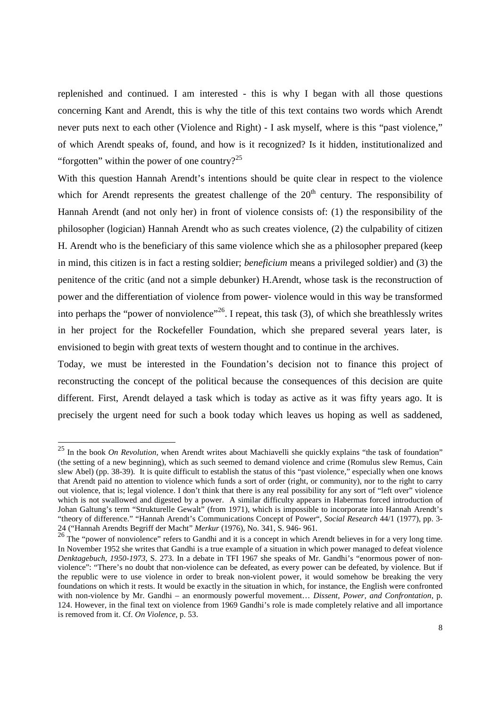replenished and continued. I am interested - this is why I began with all those questions concerning Kant and Arendt, this is why the title of this text contains two words which Arendt never puts next to each other (Violence and Right) - I ask myself, where is this "past violence," of which Arendt speaks of, found, and how is it recognized? Is it hidden, institutionalized and "forgotten" within the power of one country? $25$ 

With this question Hannah Arendt's intentions should be quite clear in respect to the violence which for Arendt represents the greatest challenge of the  $20<sup>th</sup>$  century. The responsibility of Hannah Arendt (and not only her) in front of violence consists of: (1) the responsibility of the philosopher (logician) Hannah Arendt who as such creates violence, (2) the culpability of citizen H. Arendt who is the beneficiary of this same violence which she as a philosopher prepared (keep in mind, this citizen is in fact a resting soldier; *beneficium* means a privileged soldier) and (3) the penitence of the critic (and not a simple debunker) H.Arendt, whose task is the reconstruction of power and the differentiation of violence from power- violence would in this way be transformed into perhaps the "power of nonviolence"<sup>26</sup>. I repeat, this task  $(3)$ , of which she breathlessly writes in her project for the Rockefeller Foundation, which she prepared several years later, is envisioned to begin with great texts of western thought and to continue in the archives.

Today, we must be interested in the Foundation's decision not to finance this project of reconstructing the concept of the political because the consequences of this decision are quite different. First, Arendt delayed a task which is today as active as it was fifty years ago. It is precisely the urgent need for such a book today which leaves us hoping as well as saddened,

<sup>25</sup> In the book *On Revolution,* when Arendt writes about Machiavelli she quickly explains "the task of foundation" (the setting of a new beginning), which as such seemed to demand violence and crime (Romulus slew Remus, Cain slew Abel) (pp. 38-39). It is quite difficult to establish the status of this "past violence," especially when one knows that Arendt paid no attention to violence which funds a sort of order (right, or community), nor to the right to carry out violence, that is; legal violence. I don't think that there is any real possibility for any sort of "left over" violence which is not swallowed and digested by a power. A similar difficulty appears in Habermas forced introduction of Johan Galtung's term "Strukturelle Gewalt" (from 1971), which is impossible to incorporate into Hannah Arendt's "theory of difference." "Hannah Arendt's Communications Concept of Power", *Social Research* 44/1 (1977), pp. 3- 24 ("Hannah Arendts Begriff der Macht" *Merkur* (1976), No. 341, S. 946- 961.

<sup>&</sup>lt;sup>26</sup> The "power of nonviolence" refers to Gandhi and it is a concept in which Arendt believes in for a very long time. In November 1952 she writes that Gandhi is a true example of a situation in which power managed to defeat violence *Denktagebuch, 1950-1973*, S. 273. In a debate in TFI 1967 she speaks of Mr. Gandhi's "enormous power of nonviolence": "There's no doubt that non-violence can be defeated, as every power can be defeated, by violence. But if the republic were to use violence in order to break non-violent power, it would somehow be breaking the very foundations on which it rests. It would be exactly in the situation in which, for instance, the English were confronted with non-violence by Mr. Gandhi – an enormously powerful movement… *Dissent, Power, and Confrontation*, p. 124. However, in the final text on violence from 1969 Gandhi's role is made completely relative and all importance is removed from it. Cf. *On Violence*, p. 53.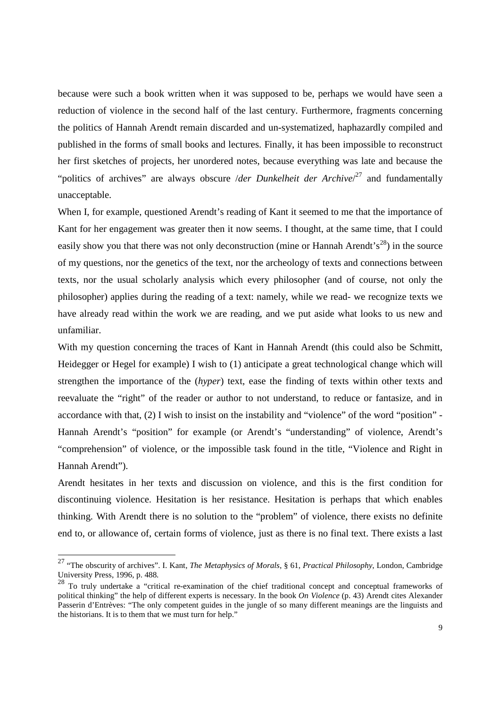because were such a book written when it was supposed to be, perhaps we would have seen a reduction of violence in the second half of the last century. Furthermore, fragments concerning the politics of Hannah Arendt remain discarded and un-systematized, haphazardly compiled and published in the forms of small books and lectures. Finally, it has been impossible to reconstruct her first sketches of projects, her unordered notes, because everything was late and because the "politics of archives" are always obscure */der Dunkelheit der Archive*/<sup>27</sup> and fundamentally unacceptable.

When I, for example, questioned Arendt's reading of Kant it seemed to me that the importance of Kant for her engagement was greater then it now seems. I thought, at the same time, that I could easily show you that there was not only deconstruction (mine or Hannah Arendt's<sup>28</sup>) in the source of my questions, nor the genetics of the text, nor the archeology of texts and connections between texts, nor the usual scholarly analysis which every philosopher (and of course, not only the philosopher) applies during the reading of a text: namely, while we read- we recognize texts we have already read within the work we are reading, and we put aside what looks to us new and unfamiliar.

With my question concerning the traces of Kant in Hannah Arendt (this could also be Schmitt, Heidegger or Hegel for example) I wish to (1) anticipate a great technological change which will strengthen the importance of the (*hyper*) text, ease the finding of texts within other texts and reevaluate the "right" of the reader or author to not understand, to reduce or fantasize, and in accordance with that, (2) I wish to insist on the instability and "violence" of the word "position" - Hannah Arendt's "position" for example (or Arendt's "understanding" of violence, Arendt's "comprehension" of violence, or the impossible task found in the title, "Violence and Right in Hannah Arendt").

Arendt hesitates in her texts and discussion on violence, and this is the first condition for discontinuing violence. Hesitation is her resistance. Hesitation is perhaps that which enables thinking. With Arendt there is no solution to the "problem" of violence, there exists no definite end to, or allowance of, certain forms of violence, just as there is no final text. There exists a last

<sup>27</sup> "The obscurity of archives". I. Kant, *The Metaphysics of Morals*, § 61, *Practical Philosophy*, London, Cambridge University Press, 1996, p. 488.

<sup>28</sup> To truly undertake a "critical re-examination of the chief traditional concept and conceptual frameworks of political thinking" the help of different experts is necessary. In the book *On Violence* (p. 43) Arendt cites Alexander Passerin d'Entrèves: "The only competent guides in the jungle of so many different meanings are the linguists and the historians. It is to them that we must turn for help."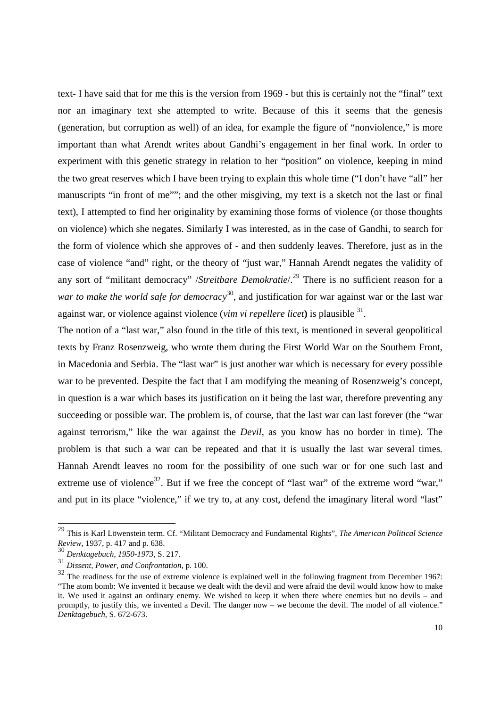text- I have said that for me this is the version from 1969 - but this is certainly not the "final" text nor an imaginary text she attempted to write. Because of this it seems that the genesis (generation, but corruption as well) of an idea, for example the figure of "nonviolence," is more important than what Arendt writes about Gandhi's engagement in her final work. In order to experiment with this genetic strategy in relation to her "position" on violence, keeping in mind the two great reserves which I have been trying to explain this whole time ("I don't have "all" her manuscripts "in front of me""; and the other misgiving, my text is a sketch not the last or final text), I attempted to find her originality by examining those forms of violence (or those thoughts on violence) which she negates. Similarly I was interested, as in the case of Gandhi, to search for the form of violence which she approves of - and then suddenly leaves. Therefore, just as in the case of violence "and" right, or the theory of "just war," Hannah Arendt negates the validity of any sort of "militant democracy" /*Streitbare Demokratie*/.<sup>29</sup> There is no sufficient reason for a *war to make the world safe for democracy*<sup>30</sup>, and justification for war against war or the last war against war, or violence against violence (*vim vi repellere licet*) is plausible <sup>31</sup>.

The notion of a "last war," also found in the title of this text, is mentioned in several geopolitical texts by Franz Rosenzweig, who wrote them during the First World War on the Southern Front, in Macedonia and Serbia. The "last war" is just another war which is necessary for every possible war to be prevented. Despite the fact that I am modifying the meaning of Rosenzweig's concept, in question is a war which bases its justification on it being the last war, therefore preventing any succeeding or possible war. The problem is, of course, that the last war can last forever (the "war against terrorism," like the war against the *Devil*, as you know has no border in time). The problem is that such a war can be repeated and that it is usually the last war several times. Hannah Arendt leaves no room for the possibility of one such war or for one such last and extreme use of violence<sup>32</sup>. But if we free the concept of "last war" of the extreme word "war," and put in its place "violence," if we try to, at any cost, defend the imaginary literal word "last"

<sup>29</sup> This is Karl Löwenstein term. Cf. "Militant Democracy and Fundamental Rights", *The American Political Science Review*, 1937, p. 417 and p. 638.

<sup>30</sup> *Denktagebuch, 1950-1973*, S. 217.

<sup>31</sup> *Dissent, Power, and Confrontation*, p. 100.

<sup>&</sup>lt;sup>32</sup> The readiness for the use of extreme violence is explained well in the following fragment from December 1967: "The atom bomb: We invented it because we dealt with the devil and were afraid the devil would know how to make it. We used it against an ordinary enemy. We wished to keep it when there where enemies but no devils – and promptly, to justify this, we invented a Devil. The danger now – we become the devil. The model of all violence." *Denktagebuch,* S. 672-673.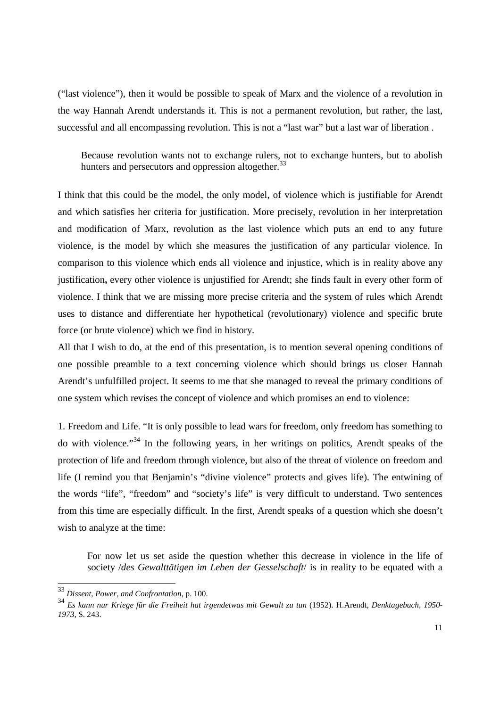("last violence"), then it would be possible to speak of Marx and the violence of a revolution in the way Hannah Arendt understands it. This is not a permanent revolution, but rather, the last, successful and all encompassing revolution. This is not a "last war" but a last war of liberation .

Because revolution wants not to exchange rulers, not to exchange hunters, but to abolish hunters and persecutors and oppression altogether.<sup>33</sup>

I think that this could be the model, the only model, of violence which is justifiable for Arendt and which satisfies her criteria for justification. More precisely, revolution in her interpretation and modification of Marx, revolution as the last violence which puts an end to any future violence, is the model by which she measures the justification of any particular violence. In comparison to this violence which ends all violence and injustice, which is in reality above any justification**,** every other violence is unjustified for Arendt; she finds fault in every other form of violence. I think that we are missing more precise criteria and the system of rules which Arendt uses to distance and differentiate her hypothetical (revolutionary) violence and specific brute force (or brute violence) which we find in history.

All that I wish to do, at the end of this presentation, is to mention several opening conditions of one possible preamble to a text concerning violence which should brings us closer Hannah Arendt's unfulfilled project. It seems to me that she managed to reveal the primary conditions of one system which revises the concept of violence and which promises an end to violence:

1. Freedom and Life. "It is only possible to lead wars for freedom, only freedom has something to do with violence."<sup>34</sup> In the following years, in her writings on politics, Arendt speaks of the protection of life and freedom through violence, but also of the threat of violence on freedom and life (I remind you that Benjamin's "divine violence" protects and gives life). The entwining of the words "life", "freedom" and "society's life" is very difficult to understand. Two sentences from this time are especially difficult. In the first, Arendt speaks of a question which she doesn't wish to analyze at the time:

For now let us set aside the question whether this decrease in violence in the life of society /*des Gewalttätigen im Leben der Gesselschaft*/ is in reality to be equated with a

 $\overline{a}$ 

<sup>33</sup> *Dissent, Power, and Confrontation*, p. 100.

<sup>34</sup> *Es kann nur Kriege für die Freiheit hat irgendetwas mit Gewalt zu tun* (1952). H.Arendt, *Denktagebuch, 1950- 1973*, S. 243.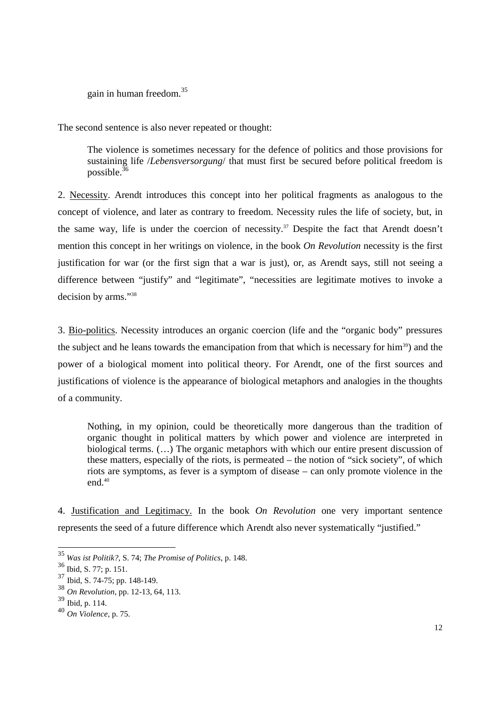gain in human freedom.<sup>35</sup>

The second sentence is also never repeated or thought:

The violence is sometimes necessary for the defence of politics and those provisions for sustaining life /*Lebensversorgung*/ that must first be secured before political freedom is possible. $36$ 

2. Necessity. Arendt introduces this concept into her political fragments as analogous to the concept of violence, and later as contrary to freedom. Necessity rules the life of society, but, in the same way, life is under the coercion of necessity.<sup>37</sup> Despite the fact that Arendt doesn't mention this concept in her writings on violence, in the book *On Revolution* necessity is the first justification for war (or the first sign that a war is just), or, as Arendt says, still not seeing a difference between "justify" and "legitimate", "necessities are legitimate motives to invoke a decision by arms."<sup>38</sup>

3. Bio-politics. Necessity introduces an organic coercion (life and the "organic body" pressures the subject and he leans towards the emancipation from that which is necessary for him<sup>39</sup>) and the power of a biological moment into political theory. For Arendt, one of the first sources and justifications of violence is the appearance of biological metaphors and analogies in the thoughts of a community.

Nothing, in my opinion, could be theoretically more dangerous than the tradition of organic thought in political matters by which power and violence are interpreted in biological terms. (…) The organic metaphors with which our entire present discussion of these matters, especially of the riots, is permeated – the notion of "sick society", of which riots are symptoms, as fever is a symptom of disease – can only promote violence in the end.<sup>40</sup>

4. Justification and Legitimacy. In the book *On Revolution* one very important sentence represents the seed of a future difference which Arendt also never systematically "justified."

<sup>35</sup> *Was ist Politik?*, S. 74; *The Promise of Politics*, p. 148.

<sup>36</sup> Ibid, S. 77; p. 151.

<sup>37</sup> Ibid, S. 74-75; pp. 148-149.

<sup>38</sup> *On Revolution*, pp. 12-13, 64, 113.

<sup>39</sup> Ibid, p. 114.

<sup>40</sup> *On Violence*, p. 75.